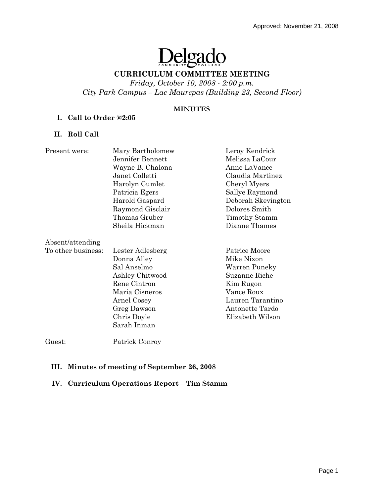# Delgado

# **CURRICULUM COMMITTEE MEETING**

*Friday, October 10, 2008 - 2:00 p.m. City Park Campus – Lac Maurepas (Building 23, Second Floor)* 

#### **MINUTES**

## **I. Call to Order @2:05**

## **II. Roll Call**

| Present were:      | Mary Bartholomew | Leroy Kendrick     |
|--------------------|------------------|--------------------|
|                    | Jennifer Bennett | Melissa LaCour     |
|                    | Wayne B. Chalona | Anne LaVance       |
|                    | Janet Colletti   | Claudia Martinez   |
|                    | Harolyn Cumlet   | Cheryl Myers       |
|                    | Patricia Egers   | Sallye Raymond     |
|                    | Harold Gaspard   | Deborah Skevington |
|                    | Raymond Gisclair | Dolores Smith      |
|                    | Thomas Gruber    | Timothy Stamm      |
|                    | Sheila Hickman   | Dianne Thames      |
| Absent/attending   |                  |                    |
| To other business: | Lester Adlesberg | Patrice Moore      |
|                    | Donna Alley      | Mike Nixon         |
|                    | Sal Anselmo      | Warren Puneky      |
|                    | Ashley Chitwood  | Suzanne Riche      |
|                    | Rene Cintron     | Kim Rugon          |
|                    | Maria Cisneros   | Vance Roux         |
|                    | Arnel Cosey      | Lauren Tarantino   |
|                    | Greg Dawson      | Antonette Tardo    |
|                    | Chris Doyle      | Elizabeth Wilson   |
|                    | Sarah Inman      |                    |
|                    |                  |                    |

Guest: Patrick Conroy

## **III. Minutes of meeting of September 26, 2008**

## **IV. Curriculum Operations Report – Tim Stamm**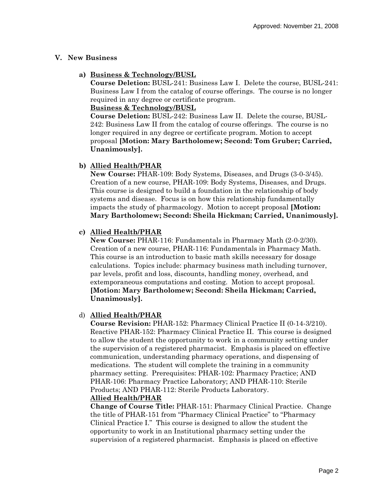# **V. New Business**

**a) Business & Technology/BUSL**

**Course Deletion:** BUSL-241: Business Law I. Delete the course, BUSL-241: Business Law I from the catalog of course offerings. The course is no longer required in any degree or certificate program.

# **Business & Technology/BUSL**

**Course Deletion:** BUSL-242: Business Law II. Delete the course, BUSL-242: Business Law II from the catalog of course offerings. The course is no longer required in any degree or certificate program. Motion to accept proposal **[Motion: Mary Bartholomew; Second: Tom Gruber; Carried, Unanimously].** 

# **b) Allied Health/PHAR**

**New Course:** PHAR-109: Body Systems, Diseases, and Drugs (3-0-3/45). Creation of a new course, PHAR-109: Body Systems, Diseases, and Drugs. This course is designed to build a foundation in the relationship of body systems and disease. Focus is on how this relationship fundamentally impacts the study of pharmacology. Motion to accept proposal **[Motion: Mary Bartholomew; Second: Sheila Hickman; Carried, Unanimously].** 

# **c) Allied Health/PHAR**

**New Course:** PHAR-116: Fundamentals in Pharmacy Math (2-0-2/30). Creation of a new course, PHAR-116: Fundamentals in Pharmacy Math. This course is an introduction to basic math skills necessary for dosage calculations. Topics include: pharmacy business math including turnover, par levels, profit and loss, discounts, handling money, overhead, and extemporaneous computations and costing. Motion to accept proposal. **[Motion: Mary Bartholomew; Second: Sheila Hickman; Carried, Unanimously].** 

# d) **Allied Health/PHAR**

**Course Revision:** PHAR-152: Pharmacy Clinical Practice II (0-14-3/210). Reactive PHAR-152: Pharmacy Clinical Practice II. This course is designed to allow the student the opportunity to work in a community setting under the supervision of a registered pharmacist. Emphasis is placed on effective communication, understanding pharmacy operations, and dispensing of medications. The student will complete the training in a community pharmacy setting. Prerequisites: PHAR-102: Pharmacy Practice; AND PHAR-106: Pharmacy Practice Laboratory; AND PHAR-110: Sterile Products; AND PHAR-112: Sterile Products Laboratory.

# **Allied Health/PHAR**

**Change of Course Title:** PHAR-151: Pharmacy Clinical Practice. Change the title of PHAR-151 from "Pharmacy Clinical Practice" to "Pharmacy Clinical Practice I." This course is designed to allow the student the opportunity to work in an Institutional pharmacy setting under the supervision of a registered pharmacist. Emphasis is placed on effective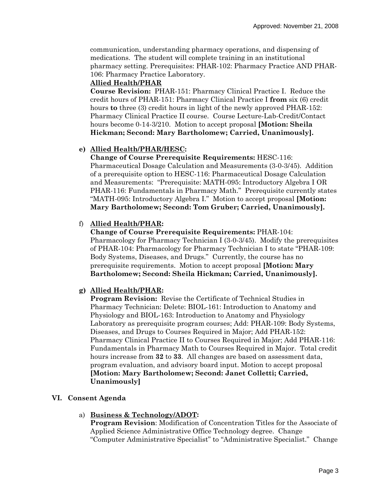communication, understanding pharmacy operations, and dispensing of medications. The student will complete training in an institutional pharmacy setting. Prerequisites: PHAR-102: Pharmacy Practice AND PHAR-106: Pharmacy Practice Laboratory.

## **Allied Health/PHAR**

**Course Revision:** PHAR-151: Pharmacy Clinical Practice I. Reduce the credit hours of PHAR-151: Pharmacy Clinical Practice I **from** six (6) credit hours **to** three (3) credit hours in light of the newly approved PHAR-152: Pharmacy Clinical Practice II course. Course Lecture-Lab-Credit/Contact hours become 0-14-3/210. Motion to accept proposal **[Motion: Sheila Hickman; Second: Mary Bartholomew; Carried, Unanimously].** 

## **e) Allied Health/PHAR/HESC:**

**Change of Course Prerequisite Requirements:** HESC-116:

Pharmaceutical Dosage Calculation and Measurements (3-0-3/45). Addition of a prerequisite option to HESC-116: Pharmaceutical Dosage Calculation and Measurements: "Prerequisite: MATH-095: Introductory Algebra I OR PHAR-116: Fundamentals in Pharmacy Math." Prerequisite currently states "MATH-095: Introductory Algebra I." Motion to accept proposal **[Motion: Mary Bartholomew; Second: Tom Gruber; Carried, Unanimously].** 

## f) **Allied Health/PHAR:**

**Change of Course Prerequisite Requirements:** PHAR-104: Pharmacology for Pharmacy Technician I (3-0-3/45). Modify the prerequisites of PHAR-104: Pharmacology for Pharmacy Technician I to state "PHAR-109: Body Systems, Diseases, and Drugs." Currently, the course has no prerequisite requirements. Motion to accept proposal **[Motion: Mary Bartholomew; Second: Sheila Hickman; Carried, Unanimously].**

## **g) Allied Health/PHAR:**

**Program Revision:** Revise the Certificate of Technical Studies in Pharmacy Technician: Delete: BIOL-161: Introduction to Anatomy and Physiology and BIOL-163: Introduction to Anatomy and Physiology Laboratory as prerequisite program courses; Add: PHAR-109: Body Systems, Diseases, and Drugs to Courses Required in Major; Add PHAR-152: Pharmacy Clinical Practice II to Courses Required in Major; Add PHAR-116: Fundamentals in Pharmacy Math to Courses Required in Major. Total credit hours increase from **32** to **33**. All changes are based on assessment data, program evaluation, and advisory board input. Motion to accept proposal **[Motion: Mary Bartholomew; Second: Janet Colletti; Carried, Unanimously]** 

## **VI. Consent Agenda**

a) **Business & Technology/ADOT:** 

**Program Revision**: Modification of Concentration Titles for the Associate of Applied Science Administrative Office Technology degree. Change "Computer Administrative Specialist" to "Administrative Specialist." Change